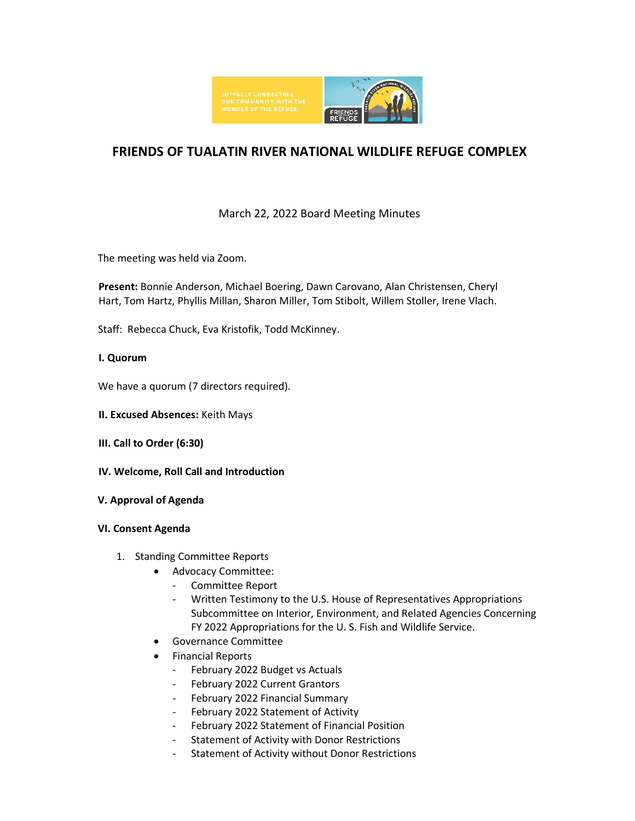

# **FRIENDS OF TUALATIN RIVER NATIONAL WILDLIFE REFUGE COMPLEX**

## March 22, 2022 Board Meeting Minutes

The meeting was held via Zoom.

**Present:** Bonnie Anderson, Michael Boering, Dawn Carovano, Alan Christensen, Cheryl Hart, Tom Hartz, Phyllis Millan, Sharon Miller, Tom Stibolt, Willem Stoller, Irene Vlach.

Staff: Rebecca Chuck, Eva Kristofik, Todd McKinney.

## **I. Quorum**

We have a quorum (7 directors required).

- **II. Excused Absences:** Keith Mays
- **III. Call to Order (6:30)**
- **IV. Welcome, Roll Call and Introduction**
- **V. Approval of Agenda**

#### **VI. Consent Agenda**

- 1. Standing Committee Reports
	- Advocacy Committee:
		- Committee Report
		- Written Testimony to the U.S. House of Representatives Appropriations Subcommittee on Interior, Environment, and Related Agencies Concerning FY 2022 Appropriations for the U. S. Fish and Wildlife Service.
	- Governance Committee
	- Financial Reports
		- February 2022 Budget vs Actuals
		- February 2022 Current Grantors
		- February 2022 Financial Summary
		- February 2022 Statement of Activity
		- February 2022 Statement of Financial Position
		- Statement of Activity with Donor Restrictions
		- Statement of Activity without Donor Restrictions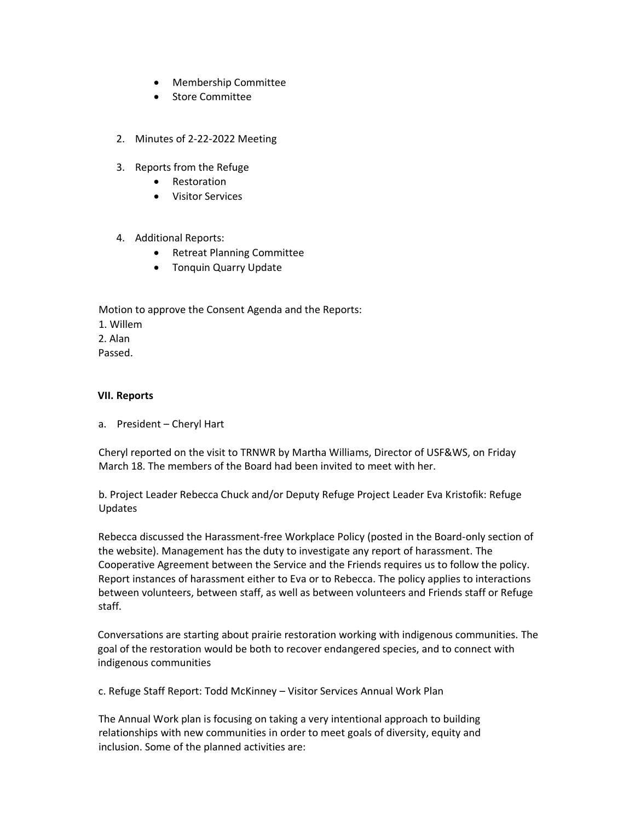- Membership Committee
- Store Committee
- 2. Minutes of 2-22-2022 Meeting
- 3. Reports from the Refuge
	- **Restoration**
	- Visitor Services
- 4. Additional Reports:
	- Retreat Planning Committee
	- Tonquin Quarry Update

Motion to approve the Consent Agenda and the Reports:

- 1. Willem
- 2. Alan

Passed.

### **VII. Reports**

a. President – Cheryl Hart

Cheryl reported on the visit to TRNWR by Martha Williams, Director of USF&WS, on Friday March 18. The members of the Board had been invited to meet with her.

b. Project Leader Rebecca Chuck and/or Deputy Refuge Project Leader Eva Kristofik: Refuge Updates

Rebecca discussed the Harassment-free Workplace Policy (posted in the Board-only section of the website). Management has the duty to investigate any report of harassment. The Cooperative Agreement between the Service and the Friends requires us to follow the policy. Report instances of harassment either to Eva or to Rebecca. The policy applies to interactions between volunteers, between staff, as well as between volunteers and Friends staff or Refuge staff.

Conversations are starting about prairie restoration working with indigenous communities. The goal of the restoration would be both to recover endangered species, and to connect with indigenous communities

c. Refuge Staff Report: Todd McKinney – Visitor Services Annual Work Plan

The Annual Work plan is focusing on taking a very intentional approach to building relationships with new communities in order to meet goals of diversity, equity and inclusion. Some of the planned activities are: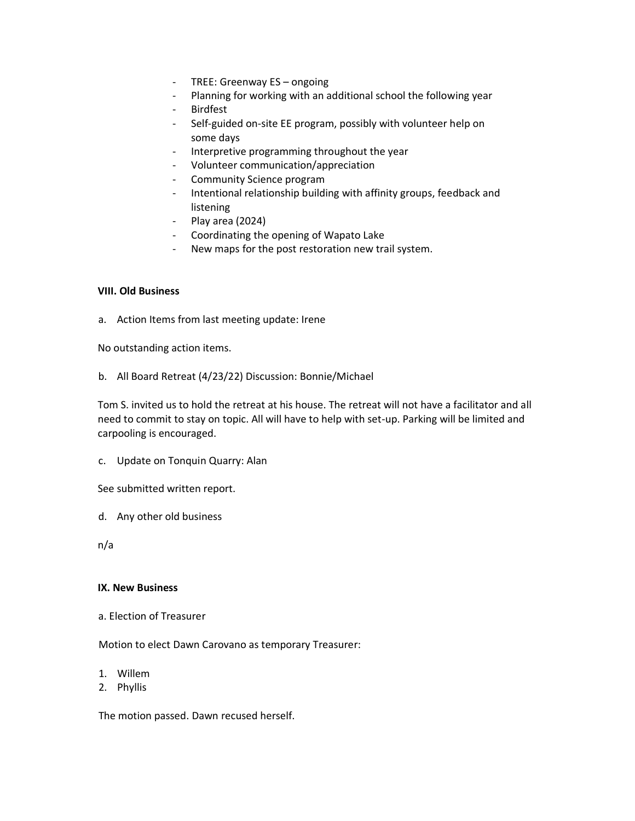- TREE: Greenway ES ongoing
- Planning for working with an additional school the following year
- Birdfest
- Self-guided on-site EE program, possibly with volunteer help on some days
- Interpretive programming throughout the year
- Volunteer communication/appreciation
- Community Science program
- Intentional relationship building with affinity groups, feedback and listening
- Play area (2024)
- Coordinating the opening of Wapato Lake
- New maps for the post restoration new trail system.

### **VIII. Old Business**

a. Action Items from last meeting update: Irene

No outstanding action items.

b. All Board Retreat (4/23/22) Discussion: Bonnie/Michael

Tom S. invited us to hold the retreat at his house. The retreat will not have a facilitator and all need to commit to stay on topic. All will have to help with set-up. Parking will be limited and carpooling is encouraged.

c. Update on Tonquin Quarry: Alan

See submitted written report.

d. Any other old business

n/a

#### **IX. New Business**

a. Election of Treasurer

Motion to elect Dawn Carovano as temporary Treasurer:

- 1. Willem
- 2. Phyllis

The motion passed. Dawn recused herself.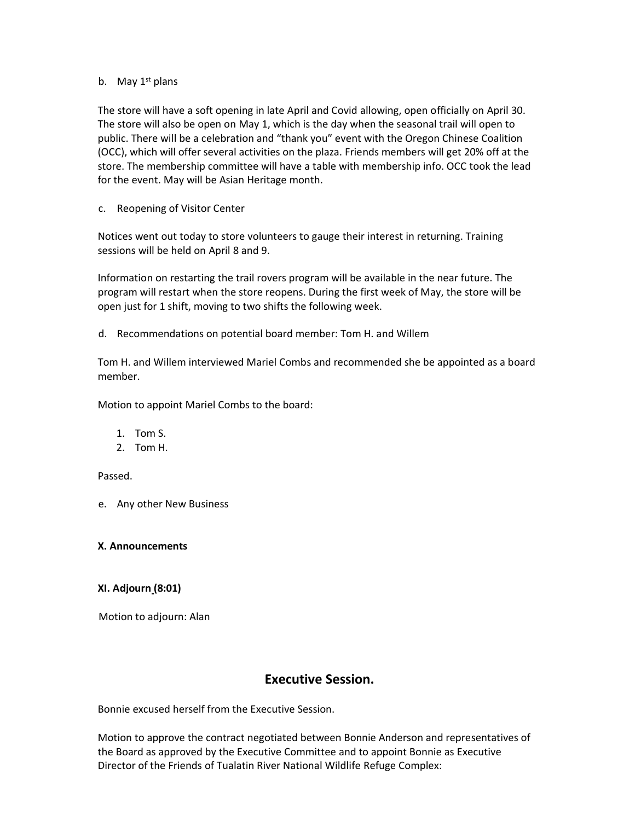### b. May  $1<sup>st</sup>$  plans

The store will have a soft opening in late April and Covid allowing, open officially on April 30. The store will also be open on May 1, which is the day when the seasonal trail will open to public. There will be a celebration and "thank you" event with the Oregon Chinese Coalition (OCC), which will offer several activities on the plaza. Friends members will get 20% off at the store. The membership committee will have a table with membership info. OCC took the lead for the event. May will be Asian Heritage month.

c. Reopening of Visitor Center

Notices went out today to store volunteers to gauge their interest in returning. Training sessions will be held on April 8 and 9.

Information on restarting the trail rovers program will be available in the near future. The program will restart when the store reopens. During the first week of May, the store will be open just for 1 shift, moving to two shifts the following week.

d. Recommendations on potential board member: Tom H. and Willem

Tom H. and Willem interviewed Mariel Combs and recommended she be appointed as a board member.

Motion to appoint Mariel Combs to the board:

- 1. Tom S.
- 2. Tom H.

Passed.

e. Any other New Business

## **X. Announcements**

## **XI. Adjourn (8:01)**

Motion to adjourn: Alan

## **Executive Session.**

Bonnie excused herself from the Executive Session.

Motion to approve the contract negotiated between Bonnie Anderson and representatives of the Board as approved by the Executive Committee and to appoint Bonnie as Executive Director of the Friends of Tualatin River National Wildlife Refuge Complex: